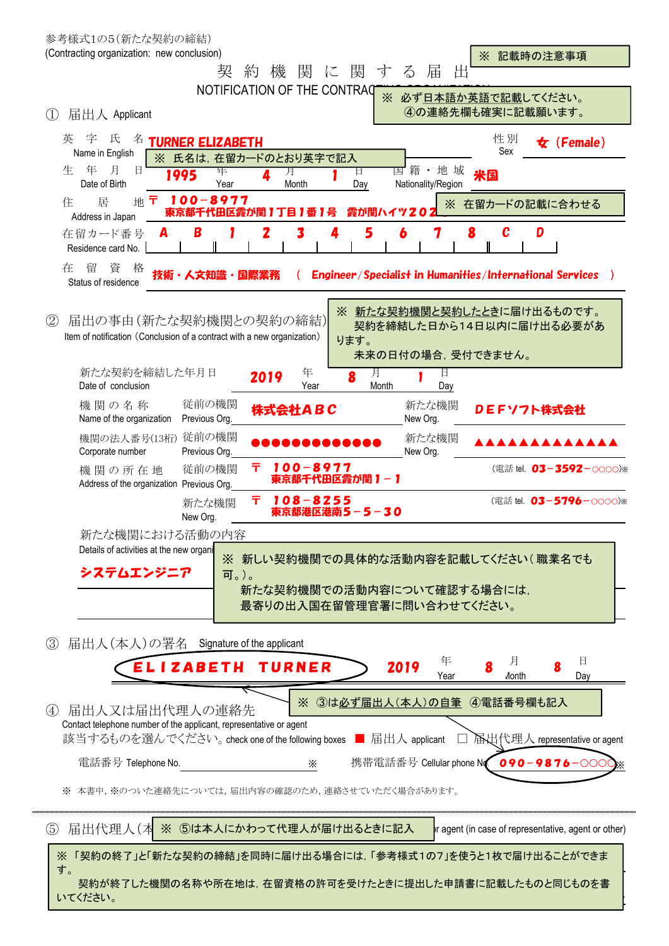|             | 参考様式1の5(新たな契約の締結)                                                                                |                         |                             |              |                 |                                                         |                                                                 |                                                       |  |
|-------------|--------------------------------------------------------------------------------------------------|-------------------------|-----------------------------|--------------|-----------------|---------------------------------------------------------|-----------------------------------------------------------------|-------------------------------------------------------|--|
|             | (Contracting organization: new conclusion)                                                       |                         |                             |              |                 |                                                         | ※ 記載時の注意事項                                                      |                                                       |  |
|             |                                                                                                  |                         | 契<br>約<br>機                 | 関<br>に       | 関<br>寸          | 届<br>$\breve{\diamond}$<br>出                            |                                                                 |                                                       |  |
| (1)         | 届出人 Applicant                                                                                    |                         | NOTIFICATION OF THE CONTRAQ |              |                 |                                                         | ※ 必ず日本語か英語で記載してください。<br>4の連絡先欄も確実に記載願います。                       |                                                       |  |
|             | 字<br>氏<br>英<br>名<br>Name in English                                                              | <b>TURNER ELIZABETH</b> | ※ 氏名は、在留カードのとおり英字で記入        |              |                 |                                                         | 性別<br>Sex                                                       | $\bigstar$ (Female)                                   |  |
|             | 月<br>年<br>生<br>目<br>Date of Birth                                                                | 1995                    | 年<br>Year                   | 月<br>Month   | 日<br>Day        | 国籍・地域<br>Nationality/Region                             | 米国                                                              |                                                       |  |
|             | 居<br>住<br>地<br>Address in Japan                                                                  | 100-8977<br>Ŧ           | 東京都千代田区霞が関1丁目               |              | 霞が関ハイツ20        |                                                         | ※ 在留カードの記載に合わせる                                                 |                                                       |  |
|             | 在留カード番号<br>Residence card No.                                                                    | B                       | Z                           |              | 5               | 6<br>7                                                  | C<br>8                                                          | D                                                     |  |
|             | 在<br>留<br>資<br>格<br>Status of residence                                                          | 技術・人文知識                 | 同際生終                        |              |                 |                                                         | <b>Engineer/Specialist in Humanities/International Services</b> |                                                       |  |
| (2)         | 届出の事由(新たな契約機関との契約の締結)<br>Item of notification (Conclusion of a contract with a new organization) |                         |                             |              | ります。            | 未来の日付の場合、受付できません。                                       | ※ 新たな契約機関と契約したときに届け出るものです。                                      | 契約を締結した日から14日以内に届け出る必要があ                              |  |
|             | 新たな契約を締結した年月日<br>Date of conclusion                                                              |                         | 2019                        | 年<br>Year    | 月<br>8<br>Month | 日<br>Day                                                |                                                                 |                                                       |  |
|             | 機 関の名称<br>Name of the organization                                                               | 従前の機関<br>Previous Org.  |                             | 株式会社ABC      |                 | 新たな機関<br>New Org.                                       | DEFソフト株式会社                                                      |                                                       |  |
|             | 機関の法人番号(13桁)<br>Corporate number                                                                 | 従前の機関<br>Previous Org.  |                             |              |                 | 新たな機関<br>New Org.                                       |                                                                 |                                                       |  |
|             | 機関の所在地<br>Address of the organization Previous Org.                                              | 従前の機関                   | Ŧ.                          | $100 - 8977$ | 東京都千代田区霞が関1-1   |                                                         |                                                                 | (電話 tel. 03-3592-0000)※                               |  |
|             |                                                                                                  | 新たな機関<br>New Org.       | Ŧ                           | $108 - 8255$ | 東京都港区港南5-5-30   |                                                         |                                                                 | (電話 tel. 03-5796-0000)※                               |  |
|             | 新たな機関における活動の内容                                                                                   |                         |                             |              |                 |                                                         |                                                                 |                                                       |  |
|             | Details of activities at the new organi                                                          |                         | X.                          |              |                 |                                                         | 新しい契約機関での具体的な活動内容を記載してください(職業名でも                                |                                                       |  |
|             | システムエンジニア                                                                                        |                         | 可。)。                        |              |                 |                                                         |                                                                 |                                                       |  |
|             |                                                                                                  |                         |                             |              |                 | 新たな契約機関での活動内容について確認する場合には,<br>最寄りの出入国在留管理官署に問い合わせてください。 |                                                                 |                                                       |  |
| (3)         | 届出人(本人)の署名 Signature of the applicant                                                            |                         |                             |              |                 |                                                         |                                                                 |                                                       |  |
|             |                                                                                                  | ELIZABETH               |                             | TURNER       |                 | 年<br>2019<br>Year                                       | 月<br><b><i>A</i>onth</b>                                        | 日<br>Day                                              |  |
| (4)         | 届出人又は届出代理人の連絡先<br>Contact telephone number of the applicant, representative or agent             |                         |                             | X            |                 |                                                         | 3は必ず届出人(本人)の自筆 4電話番号欄も記入                                        |                                                       |  |
|             | 該当するものを選んでください。check one of the following boxes ■ 届出人 applicant                                  |                         |                             |              |                 |                                                         |                                                                 | <b>A</b> 出代理人 representative or agent                 |  |
|             | 電話番号 Telephone No.                                                                               |                         |                             | X            |                 |                                                         |                                                                 | 携帯電話番号 Cellular phone No 090-9876-000                 |  |
|             | ※ 本書中,※のついた連絡先については,届出内容の確認のため,連絡させていただく場合があります。                                                 |                         |                             |              |                 |                                                         |                                                                 |                                                       |  |
| $\circledS$ | 届出代理人(本                                                                                          |                         | ※ 5は本人にかわって代理人が届け出るときに記入    |              |                 |                                                         |                                                                 | r agent (in case of representative, agent or other)   |  |
|             | 「契約の終了」と「新たな契約の締結」を同時に届け出る場合には,「参考様式1の7」を使うと1枚で届け出ることができま<br>Ж<br>す。                             |                         |                             |              |                 |                                                         |                                                                 |                                                       |  |
|             | いてください。                                                                                          |                         |                             |              |                 |                                                         |                                                                 | 契約が終了した機関の名称や所在地は,在留資格の許可を受けたときに提出した申請書に記載したものと同じものを書 |  |